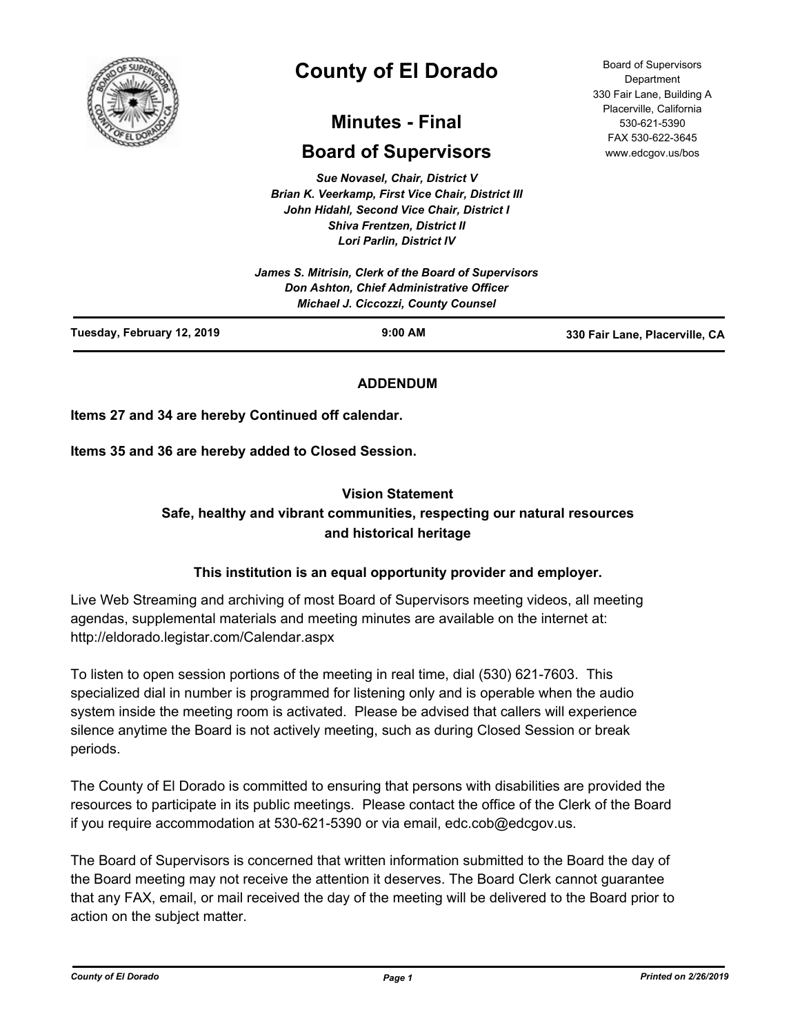

# **County of El Dorado**

## **Minutes - Final**

## **Board of Supervisors**

*Sue Novasel, Chair, District V Brian K. Veerkamp, First Vice Chair, District III John Hidahl, Second Vice Chair, District I Shiva Frentzen, District II Lori Parlin, District IV*

| Tuesday, February 12, 2019 | $9:00$ AM                                                                              | 330 Fair Lane, Placerville, CA |
|----------------------------|----------------------------------------------------------------------------------------|--------------------------------|
|                            | Don Ashton, Chief Administrative Officer<br><b>Michael J. Ciccozzi, County Counsel</b> |                                |
|                            | James S. Mitrisin, Clerk of the Board of Supervisors                                   |                                |

#### **ADDENDUM**

**Items 27 and 34 are hereby Continued off calendar.**

**Items 35 and 36 are hereby added to Closed Session.**

#### **Vision Statement**

### **Safe, healthy and vibrant communities, respecting our natural resources and historical heritage**

#### **This institution is an equal opportunity provider and employer.**

Live Web Streaming and archiving of most Board of Supervisors meeting videos, all meeting agendas, supplemental materials and meeting minutes are available on the internet at: http://eldorado.legistar.com/Calendar.aspx

To listen to open session portions of the meeting in real time, dial (530) 621-7603. This specialized dial in number is programmed for listening only and is operable when the audio system inside the meeting room is activated. Please be advised that callers will experience silence anytime the Board is not actively meeting, such as during Closed Session or break periods.

The County of El Dorado is committed to ensuring that persons with disabilities are provided the resources to participate in its public meetings. Please contact the office of the Clerk of the Board if you require accommodation at 530-621-5390 or via email, edc.cob@edcgov.us.

The Board of Supervisors is concerned that written information submitted to the Board the day of the Board meeting may not receive the attention it deserves. The Board Clerk cannot guarantee that any FAX, email, or mail received the day of the meeting will be delivered to the Board prior to action on the subject matter.

Board of Supervisors Department 330 Fair Lane, Building A Placerville, California 530-621-5390 FAX 530-622-3645 www.edcgov.us/bos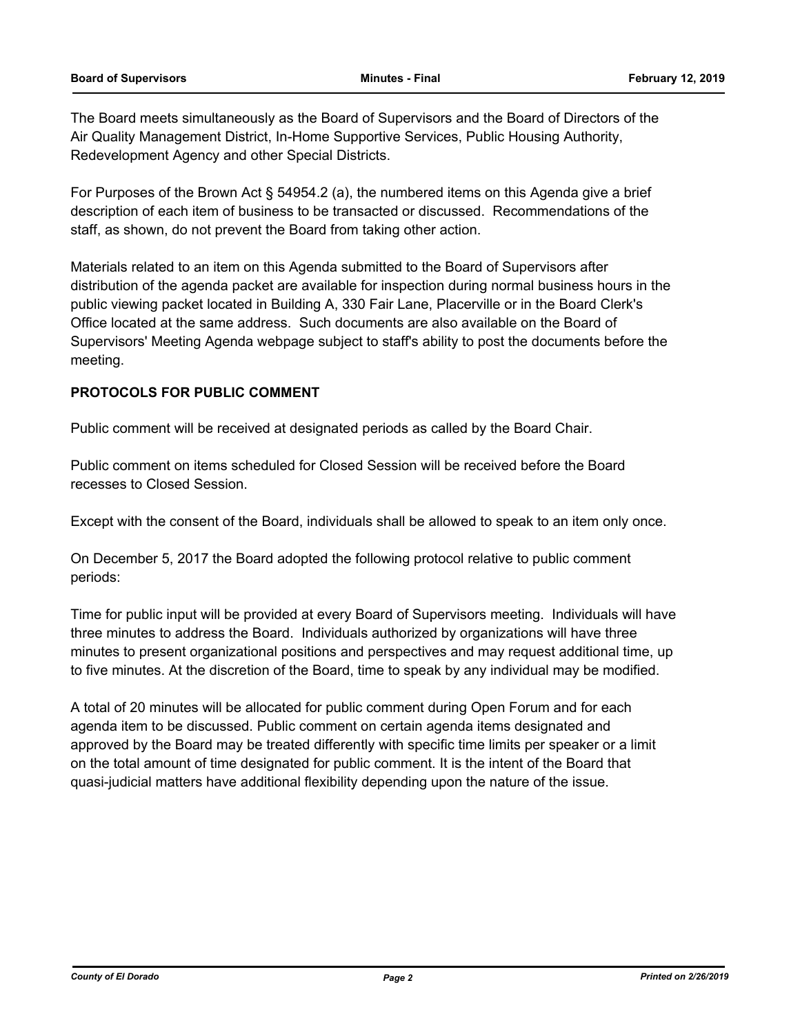The Board meets simultaneously as the Board of Supervisors and the Board of Directors of the Air Quality Management District, In-Home Supportive Services, Public Housing Authority, Redevelopment Agency and other Special Districts.

For Purposes of the Brown Act § 54954.2 (a), the numbered items on this Agenda give a brief description of each item of business to be transacted or discussed. Recommendations of the staff, as shown, do not prevent the Board from taking other action.

Materials related to an item on this Agenda submitted to the Board of Supervisors after distribution of the agenda packet are available for inspection during normal business hours in the public viewing packet located in Building A, 330 Fair Lane, Placerville or in the Board Clerk's Office located at the same address. Such documents are also available on the Board of Supervisors' Meeting Agenda webpage subject to staff's ability to post the documents before the meeting.

#### **PROTOCOLS FOR PUBLIC COMMENT**

Public comment will be received at designated periods as called by the Board Chair.

Public comment on items scheduled for Closed Session will be received before the Board recesses to Closed Session.

Except with the consent of the Board, individuals shall be allowed to speak to an item only once.

On December 5, 2017 the Board adopted the following protocol relative to public comment periods:

Time for public input will be provided at every Board of Supervisors meeting. Individuals will have three minutes to address the Board. Individuals authorized by organizations will have three minutes to present organizational positions and perspectives and may request additional time, up to five minutes. At the discretion of the Board, time to speak by any individual may be modified.

A total of 20 minutes will be allocated for public comment during Open Forum and for each agenda item to be discussed. Public comment on certain agenda items designated and approved by the Board may be treated differently with specific time limits per speaker or a limit on the total amount of time designated for public comment. It is the intent of the Board that quasi-judicial matters have additional flexibility depending upon the nature of the issue.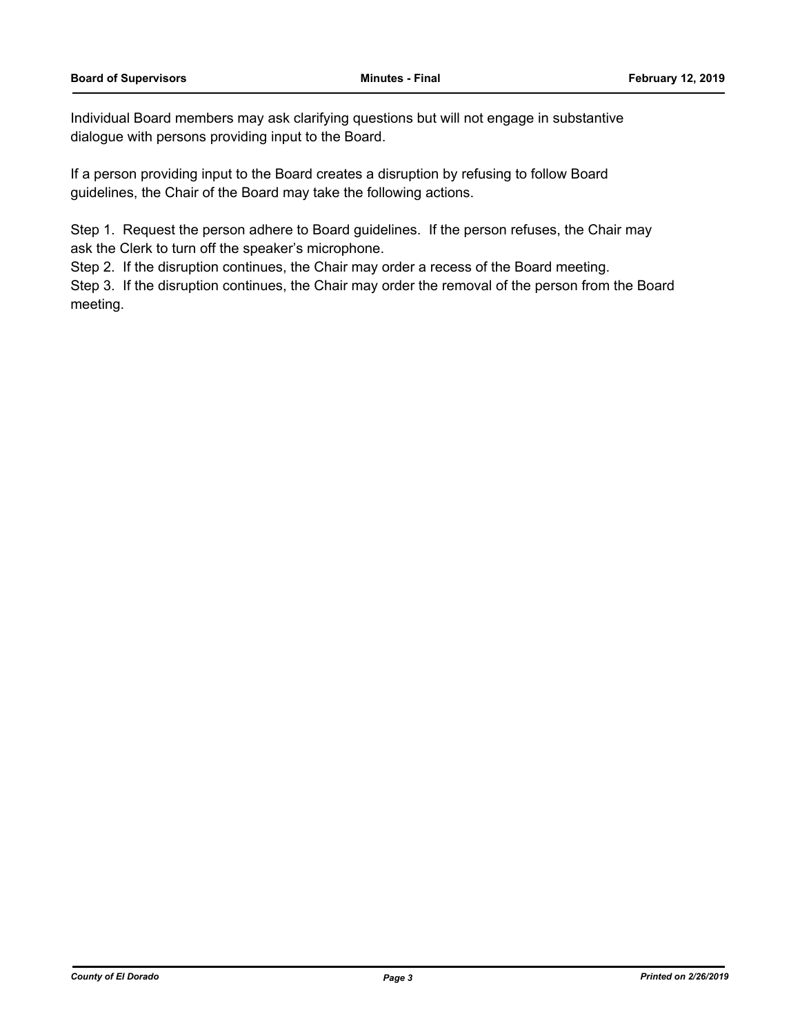Individual Board members may ask clarifying questions but will not engage in substantive dialogue with persons providing input to the Board.

If a person providing input to the Board creates a disruption by refusing to follow Board guidelines, the Chair of the Board may take the following actions.

Step 1. Request the person adhere to Board guidelines. If the person refuses, the Chair may ask the Clerk to turn off the speaker's microphone.

Step 2. If the disruption continues, the Chair may order a recess of the Board meeting.

Step 3. If the disruption continues, the Chair may order the removal of the person from the Board meeting.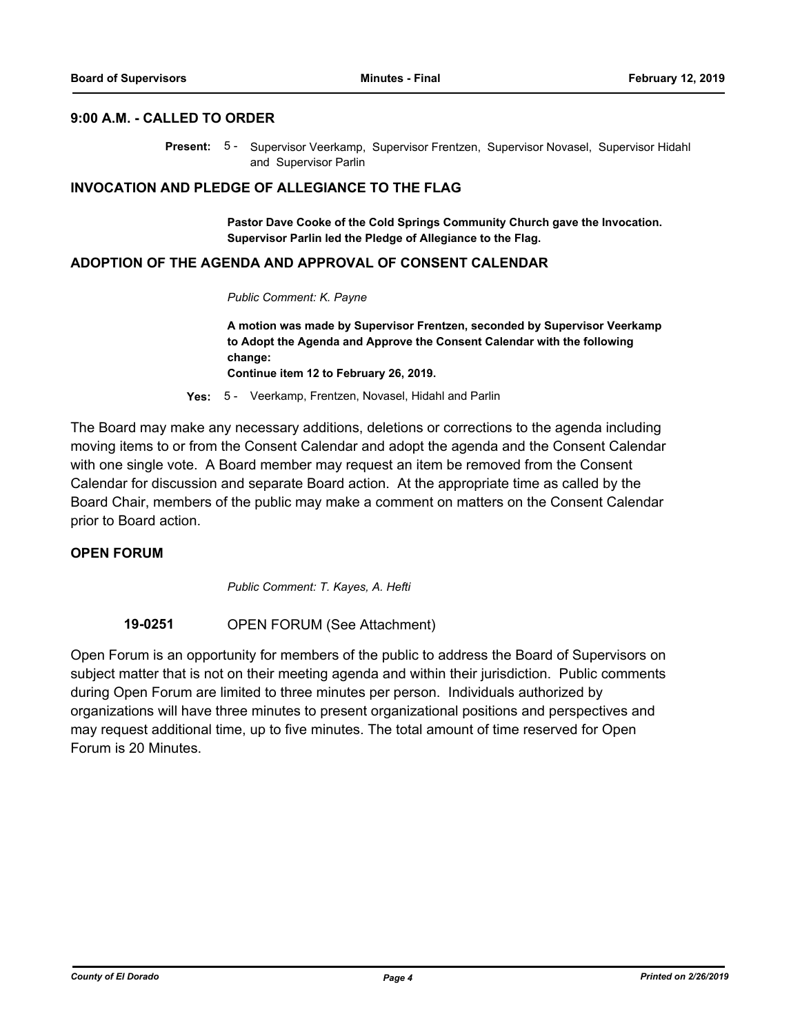#### **9:00 A.M. - CALLED TO ORDER**

Present: 5 - Supervisor Veerkamp, Supervisor Frentzen, Supervisor Novasel, Supervisor Hidahl and Supervisor Parlin

#### **INVOCATION AND PLEDGE OF ALLEGIANCE TO THE FLAG**

**Pastor Dave Cooke of the Cold Springs Community Church gave the Invocation. Supervisor Parlin led the Pledge of Allegiance to the Flag.**

#### **ADOPTION OF THE AGENDA AND APPROVAL OF CONSENT CALENDAR**

*Public Comment: K. Payne*

**A motion was made by Supervisor Frentzen, seconded by Supervisor Veerkamp to Adopt the Agenda and Approve the Consent Calendar with the following change:**

**Continue item 12 to February 26, 2019.**

**Yes:** 5 - Veerkamp, Frentzen, Novasel, Hidahl and Parlin

The Board may make any necessary additions, deletions or corrections to the agenda including moving items to or from the Consent Calendar and adopt the agenda and the Consent Calendar with one single vote. A Board member may request an item be removed from the Consent Calendar for discussion and separate Board action. At the appropriate time as called by the Board Chair, members of the public may make a comment on matters on the Consent Calendar prior to Board action.

#### **OPEN FORUM**

*Public Comment: T. Kayes, A. Hefti*

**19-0251** OPEN FORUM (See Attachment)

Open Forum is an opportunity for members of the public to address the Board of Supervisors on subject matter that is not on their meeting agenda and within their jurisdiction. Public comments during Open Forum are limited to three minutes per person. Individuals authorized by organizations will have three minutes to present organizational positions and perspectives and may request additional time, up to five minutes. The total amount of time reserved for Open Forum is 20 Minutes.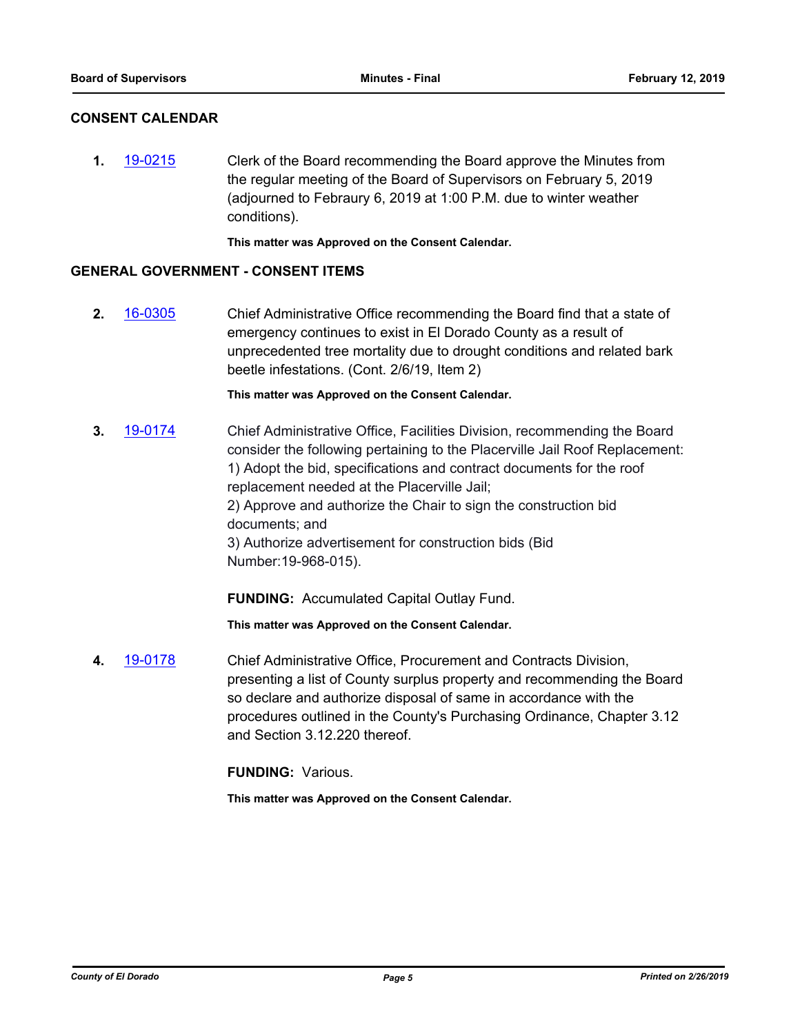#### **CONSENT CALENDAR**

**1.** [19-0215](http://eldorado.legistar.com/gateway.aspx?m=l&id=/matter.aspx?key=25535) Clerk of the Board recommending the Board approve the Minutes from the regular meeting of the Board of Supervisors on February 5, 2019 (adjourned to Febraury 6, 2019 at 1:00 P.M. due to winter weather conditions).

**This matter was Approved on the Consent Calendar.**

#### **GENERAL GOVERNMENT - CONSENT ITEMS**

**2.** [16-0305](http://eldorado.legistar.com/gateway.aspx?m=l&id=/matter.aspx?key=20961) Chief Administrative Office recommending the Board find that a state of emergency continues to exist in El Dorado County as a result of unprecedented tree mortality due to drought conditions and related bark beetle infestations. (Cont. 2/6/19, Item 2)

**This matter was Approved on the Consent Calendar.**

**3.** [19-0174](http://eldorado.legistar.com/gateway.aspx?m=l&id=/matter.aspx?key=25494) Chief Administrative Office, Facilities Division, recommending the Board consider the following pertaining to the Placerville Jail Roof Replacement: 1) Adopt the bid, specifications and contract documents for the roof replacement needed at the Placerville Jail; 2) Approve and authorize the Chair to sign the construction bid documents; and 3) Authorize advertisement for construction bids (Bid Number:19-968-015).

**FUNDING:** Accumulated Capital Outlay Fund.

**This matter was Approved on the Consent Calendar.**

**4.** [19-0178](http://eldorado.legistar.com/gateway.aspx?m=l&id=/matter.aspx?key=25498) Chief Administrative Office, Procurement and Contracts Division, presenting a list of County surplus property and recommending the Board so declare and authorize disposal of same in accordance with the procedures outlined in the County's Purchasing Ordinance, Chapter 3.12 and Section 3.12.220 thereof.

**FUNDING:** Various.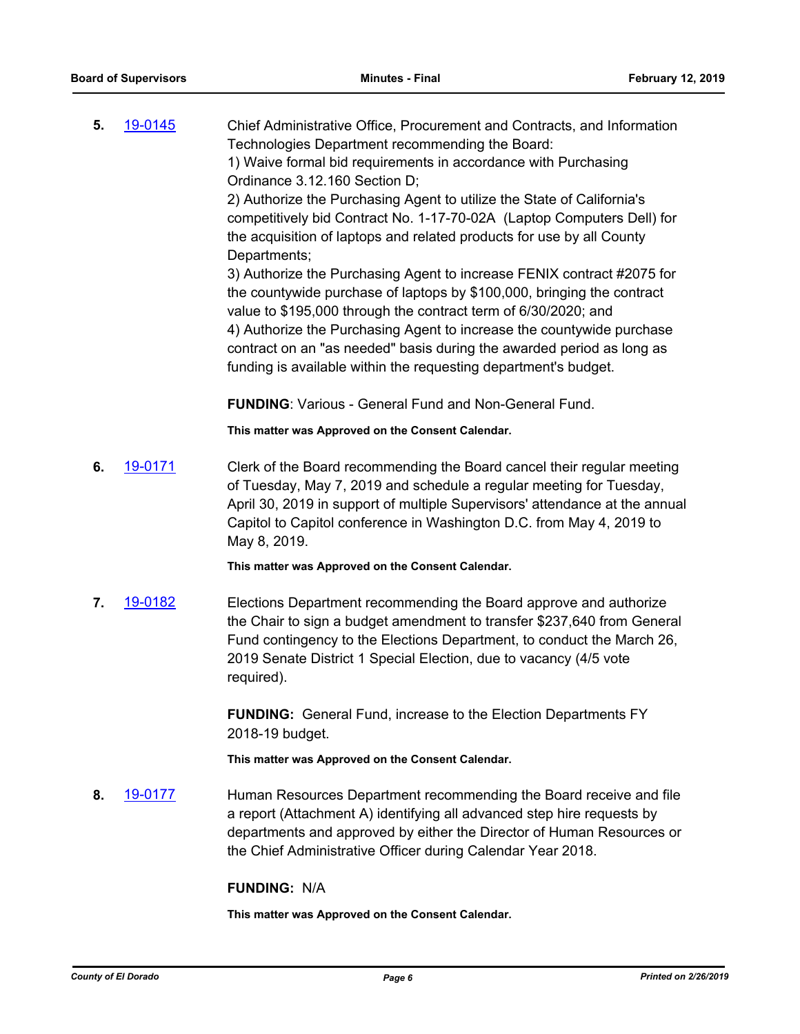**5.** [19-0145](http://eldorado.legistar.com/gateway.aspx?m=l&id=/matter.aspx?key=25465) Chief Administrative Office, Procurement and Contracts, and Information Technologies Department recommending the Board: 1) Waive formal bid requirements in accordance with Purchasing Ordinance 3.12.160 Section D; 2) Authorize the Purchasing Agent to utilize the State of California's competitively bid Contract No. 1-17-70-02A (Laptop Computers Dell) for the acquisition of laptops and related products for use by all County Departments; 3) Authorize the Purchasing Agent to increase FENIX contract #2075 for the countywide purchase of laptops by \$100,000, bringing the contract value to \$195,000 through the contract term of 6/30/2020; and 4) Authorize the Purchasing Agent to increase the countywide purchase contract on an "as needed" basis during the awarded period as long as funding is available within the requesting department's budget.

**FUNDING**: Various - General Fund and Non-General Fund.

**This matter was Approved on the Consent Calendar.**

**6.** [19-0171](http://eldorado.legistar.com/gateway.aspx?m=l&id=/matter.aspx?key=25491) Clerk of the Board recommending the Board cancel their regular meeting of Tuesday, May 7, 2019 and schedule a regular meeting for Tuesday, April 30, 2019 in support of multiple Supervisors' attendance at the annual Capitol to Capitol conference in Washington D.C. from May 4, 2019 to May 8, 2019.

**This matter was Approved on the Consent Calendar.**

**7.** [19-0182](http://eldorado.legistar.com/gateway.aspx?m=l&id=/matter.aspx?key=25502) Elections Department recommending the Board approve and authorize the Chair to sign a budget amendment to transfer \$237,640 from General Fund contingency to the Elections Department, to conduct the March 26, 2019 Senate District 1 Special Election, due to vacancy (4/5 vote required).

> **FUNDING:** General Fund, increase to the Election Departments FY 2018-19 budget.

**This matter was Approved on the Consent Calendar.**

**8.** [19-0177](http://eldorado.legistar.com/gateway.aspx?m=l&id=/matter.aspx?key=25497) Human Resources Department recommending the Board receive and file a report (Attachment A) identifying all advanced step hire requests by departments and approved by either the Director of Human Resources or the Chief Administrative Officer during Calendar Year 2018.

## **FUNDING:** N/A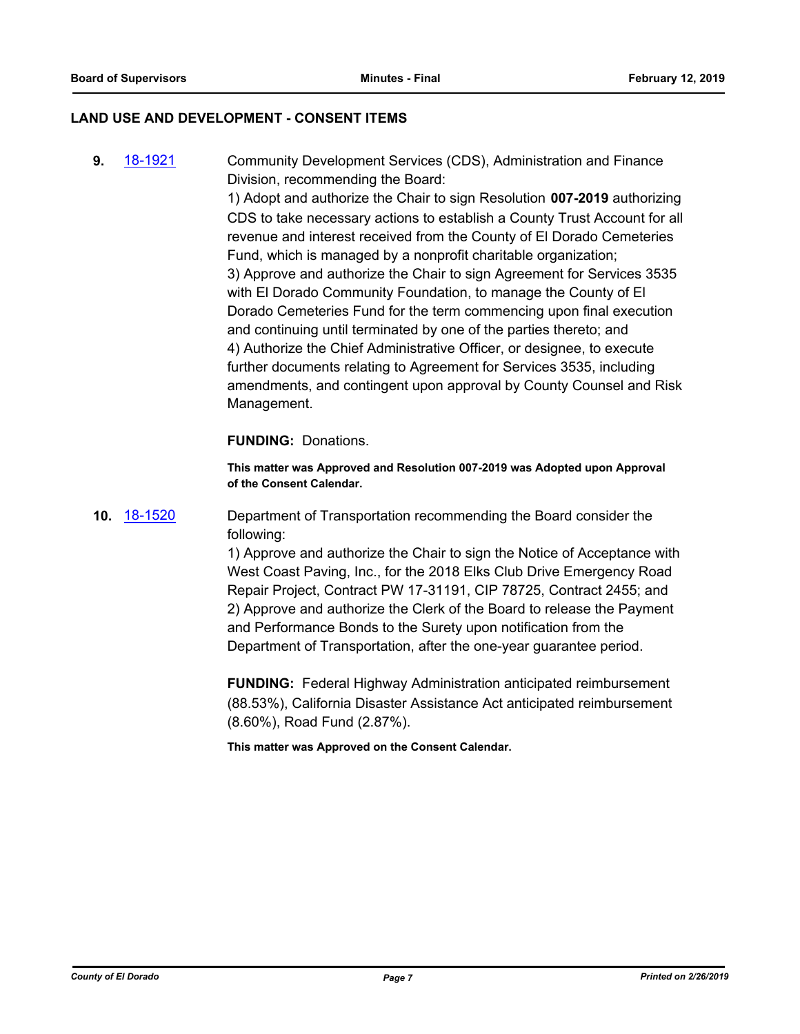#### **LAND USE AND DEVELOPMENT - CONSENT ITEMS**

**9.** [18-1921](http://eldorado.legistar.com/gateway.aspx?m=l&id=/matter.aspx?key=25271) Community Development Services (CDS), Administration and Finance Division, recommending the Board:

> 1) Adopt and authorize the Chair to sign Resolution **007-2019** authorizing CDS to take necessary actions to establish a County Trust Account for all revenue and interest received from the County of El Dorado Cemeteries Fund, which is managed by a nonprofit charitable organization; 3) Approve and authorize the Chair to sign Agreement for Services 3535 with El Dorado Community Foundation, to manage the County of El Dorado Cemeteries Fund for the term commencing upon final execution and continuing until terminated by one of the parties thereto; and 4) Authorize the Chief Administrative Officer, or designee, to execute further documents relating to Agreement for Services 3535, including amendments, and contingent upon approval by County Counsel and Risk Management.

#### **FUNDING:** Donations.

**This matter was Approved and Resolution 007-2019 was Adopted upon Approval of the Consent Calendar.**

**10.** [18-1520](http://eldorado.legistar.com/gateway.aspx?m=l&id=/matter.aspx?key=24871) Department of Transportation recommending the Board consider the following:

> 1) Approve and authorize the Chair to sign the Notice of Acceptance with West Coast Paving, Inc., for the 2018 Elks Club Drive Emergency Road Repair Project, Contract PW 17-31191, CIP 78725, Contract 2455; and 2) Approve and authorize the Clerk of the Board to release the Payment and Performance Bonds to the Surety upon notification from the Department of Transportation, after the one-year guarantee period.

**FUNDING:** Federal Highway Administration anticipated reimbursement (88.53%), California Disaster Assistance Act anticipated reimbursement (8.60%), Road Fund (2.87%).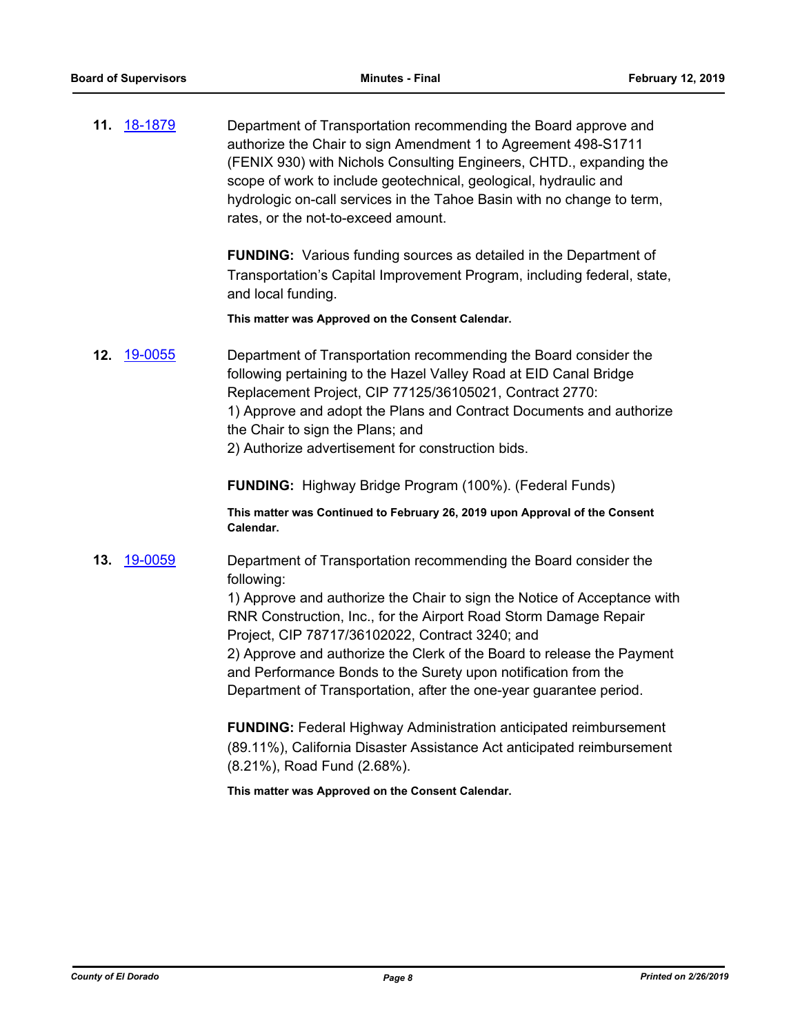**11.** [18-1879](http://eldorado.legistar.com/gateway.aspx?m=l&id=/matter.aspx?key=25229) Department of Transportation recommending the Board approve and authorize the Chair to sign Amendment 1 to Agreement 498-S1711 (FENIX 930) with Nichols Consulting Engineers, CHTD., expanding the scope of work to include geotechnical, geological, hydraulic and hydrologic on-call services in the Tahoe Basin with no change to term, rates, or the not-to-exceed amount.

> **FUNDING:** Various funding sources as detailed in the Department of Transportation's Capital Improvement Program, including federal, state, and local funding.

**This matter was Approved on the Consent Calendar.**

**12.** [19-0055](http://eldorado.legistar.com/gateway.aspx?m=l&id=/matter.aspx?key=25376) Department of Transportation recommending the Board consider the following pertaining to the Hazel Valley Road at EID Canal Bridge Replacement Project, CIP 77125/36105021, Contract 2770: 1) Approve and adopt the Plans and Contract Documents and authorize the Chair to sign the Plans; and

2) Authorize advertisement for construction bids.

**FUNDING:** Highway Bridge Program (100%). (Federal Funds)

**This matter was Continued to February 26, 2019 upon Approval of the Consent Calendar.**

**13.** [19-0059](http://eldorado.legistar.com/gateway.aspx?m=l&id=/matter.aspx?key=25380) Department of Transportation recommending the Board consider the following:

> 1) Approve and authorize the Chair to sign the Notice of Acceptance with RNR Construction, Inc., for the Airport Road Storm Damage Repair Project, CIP 78717/36102022, Contract 3240; and

2) Approve and authorize the Clerk of the Board to release the Payment and Performance Bonds to the Surety upon notification from the Department of Transportation, after the one-year guarantee period.

**FUNDING:** Federal Highway Administration anticipated reimbursement (89.11%), California Disaster Assistance Act anticipated reimbursement (8.21%), Road Fund (2.68%).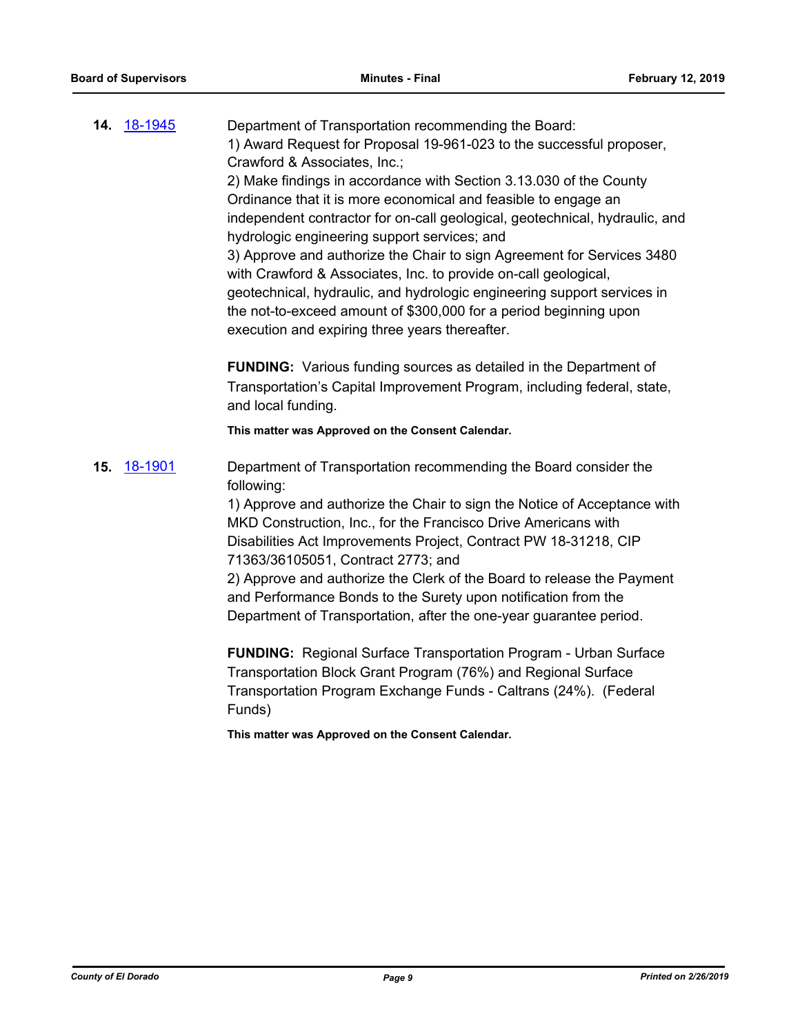|     | 14. 18-1945 | Department of Transportation recommending the Board:<br>1) Award Request for Proposal 19-961-023 to the successful proposer,<br>Crawford & Associates, Inc.;<br>2) Make findings in accordance with Section 3.13.030 of the County<br>Ordinance that it is more economical and feasible to engage an<br>independent contractor for on-call geological, geotechnical, hydraulic, and<br>hydrologic engineering support services; and<br>3) Approve and authorize the Chair to sign Agreement for Services 3480<br>with Crawford & Associates, Inc. to provide on-call geological,<br>geotechnical, hydraulic, and hydrologic engineering support services in<br>the not-to-exceed amount of \$300,000 for a period beginning upon<br>execution and expiring three years thereafter.<br><b>FUNDING:</b> Various funding sources as detailed in the Department of<br>Transportation's Capital Improvement Program, including federal, state,<br>and local funding.<br>This matter was Approved on the Consent Calendar. |
|-----|-------------|----------------------------------------------------------------------------------------------------------------------------------------------------------------------------------------------------------------------------------------------------------------------------------------------------------------------------------------------------------------------------------------------------------------------------------------------------------------------------------------------------------------------------------------------------------------------------------------------------------------------------------------------------------------------------------------------------------------------------------------------------------------------------------------------------------------------------------------------------------------------------------------------------------------------------------------------------------------------------------------------------------------------|
| 15. | 18-1901     | Department of Transportation recommending the Board consider the<br>following:<br>1) Approve and authorize the Chair to sign the Notice of Acceptance with<br>MKD Construction, Inc., for the Francisco Drive Americans with<br>Disabilities Act Improvements Project, Contract PW 18-31218, CIP<br>71363/36105051, Contract 2773; and<br>2) Approve and authorize the Clerk of the Board to release the Payment<br>and Performance Bonds to the Surety upon notification from the<br>Department of Transportation, after the one-year guarantee period.                                                                                                                                                                                                                                                                                                                                                                                                                                                             |

**FUNDING:** Regional Surface Transportation Program - Urban Surface Transportation Block Grant Program (76%) and Regional Surface Transportation Program Exchange Funds - Caltrans (24%). (Federal Funds)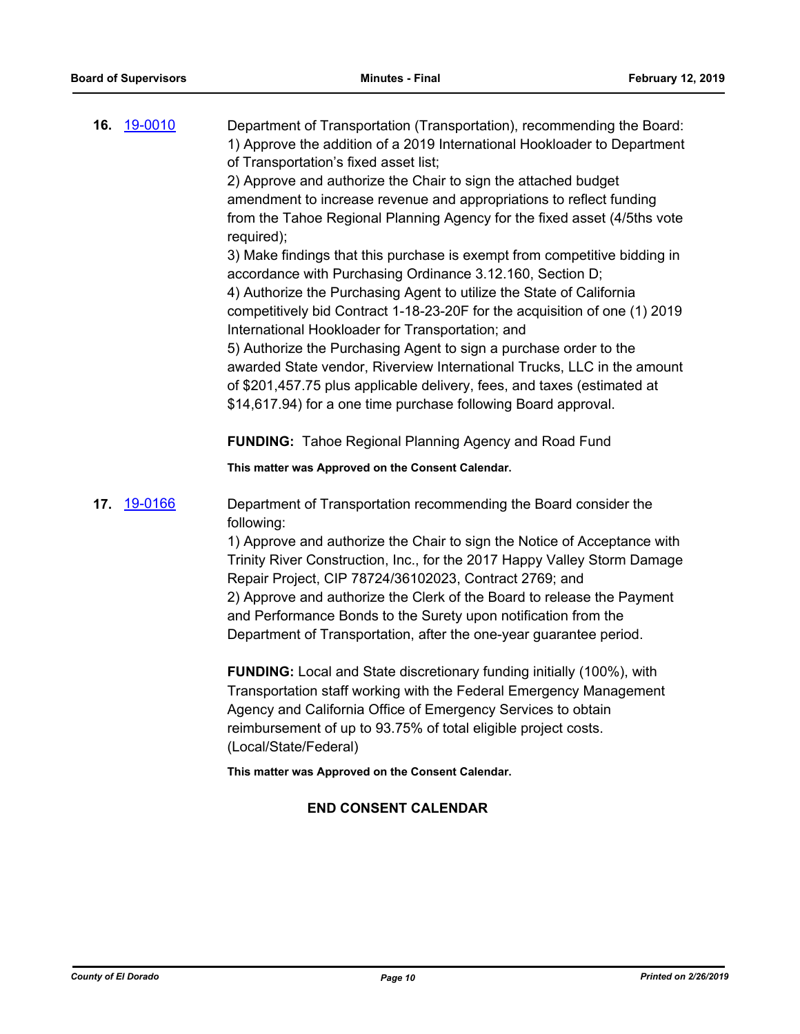|     | 16. 19-0010 | Department of Transportation (Transportation), recommending the Board:<br>1) Approve the addition of a 2019 International Hookloader to Department<br>of Transportation's fixed asset list;<br>2) Approve and authorize the Chair to sign the attached budget<br>amendment to increase revenue and appropriations to reflect funding<br>from the Tahoe Regional Planning Agency for the fixed asset (4/5ths vote<br>required);<br>3) Make findings that this purchase is exempt from competitive bidding in<br>accordance with Purchasing Ordinance 3.12.160, Section D;<br>4) Authorize the Purchasing Agent to utilize the State of California<br>competitively bid Contract 1-18-23-20F for the acquisition of one (1) 2019<br>International Hookloader for Transportation; and<br>5) Authorize the Purchasing Agent to sign a purchase order to the<br>awarded State vendor, Riverview International Trucks, LLC in the amount<br>of \$201,457.75 plus applicable delivery, fees, and taxes (estimated at<br>\$14,617.94) for a one time purchase following Board approval. |
|-----|-------------|---------------------------------------------------------------------------------------------------------------------------------------------------------------------------------------------------------------------------------------------------------------------------------------------------------------------------------------------------------------------------------------------------------------------------------------------------------------------------------------------------------------------------------------------------------------------------------------------------------------------------------------------------------------------------------------------------------------------------------------------------------------------------------------------------------------------------------------------------------------------------------------------------------------------------------------------------------------------------------------------------------------------------------------------------------------------------------|
|     |             | <b>FUNDING:</b> Tahoe Regional Planning Agency and Road Fund                                                                                                                                                                                                                                                                                                                                                                                                                                                                                                                                                                                                                                                                                                                                                                                                                                                                                                                                                                                                                    |
|     |             | This matter was Approved on the Consent Calendar.                                                                                                                                                                                                                                                                                                                                                                                                                                                                                                                                                                                                                                                                                                                                                                                                                                                                                                                                                                                                                               |
| 17. | 19-0166     | Department of Transportation recommending the Board consider the<br>following:<br>1) Approve and authorize the Chair to sign the Notice of Acceptance with<br>Trinity River Construction, Inc., for the 2017 Happy Valley Storm Damage<br>Repair Project, CIP 78724/36102023, Contract 2769; and<br>2) Approve and authorize the Clerk of the Board to release the Payment<br>and Performance Bonds to the Surety upon notification from the<br>Department of Transportation, after the one-year guarantee period.                                                                                                                                                                                                                                                                                                                                                                                                                                                                                                                                                              |
|     |             | FUNDING: Local and State discretionary funding initially (100%), with<br>Transportation staff working with the Federal Emergency Management<br>Agency and California Office of Emergency Services to obtain<br>reimbursement of up to 93.75% of total eligible project costs.<br>(Local/State/Federal)                                                                                                                                                                                                                                                                                                                                                                                                                                                                                                                                                                                                                                                                                                                                                                          |
|     |             | This matter was Approved on the Consent Calendar.                                                                                                                                                                                                                                                                                                                                                                                                                                                                                                                                                                                                                                                                                                                                                                                                                                                                                                                                                                                                                               |

## **END CONSENT CALENDAR**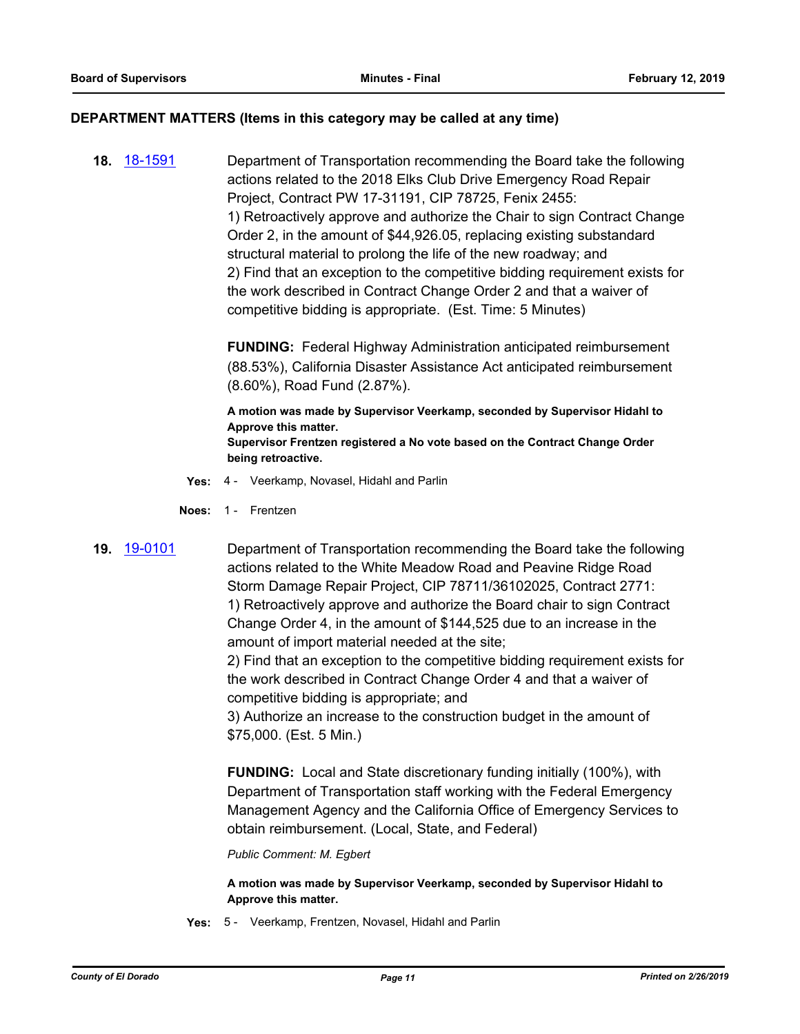#### **DEPARTMENT MATTERS (Items in this category may be called at any time)**

**18.** [18-1591](http://eldorado.legistar.com/gateway.aspx?m=l&id=/matter.aspx?key=24942) Department of Transportation recommending the Board take the following actions related to the 2018 Elks Club Drive Emergency Road Repair Project, Contract PW 17-31191, CIP 78725, Fenix 2455: 1) Retroactively approve and authorize the Chair to sign Contract Change Order 2, in the amount of \$44,926.05, replacing existing substandard structural material to prolong the life of the new roadway; and 2) Find that an exception to the competitive bidding requirement exists for the work described in Contract Change Order 2 and that a waiver of competitive bidding is appropriate. (Est. Time: 5 Minutes)

> **FUNDING:** Federal Highway Administration anticipated reimbursement (88.53%), California Disaster Assistance Act anticipated reimbursement (8.60%), Road Fund (2.87%).

**A motion was made by Supervisor Veerkamp, seconded by Supervisor Hidahl to Approve this matter. Supervisor Frentzen registered a No vote based on the Contract Change Order being retroactive.**

- **Yes:** 4 Veerkamp, Novasel, Hidahl and Parlin
- **Noes:** 1 Frentzen
- 

**19.** [19-0101](http://eldorado.legistar.com/gateway.aspx?m=l&id=/matter.aspx?key=25422) Department of Transportation recommending the Board take the following actions related to the White Meadow Road and Peavine Ridge Road Storm Damage Repair Project, CIP 78711/36102025, Contract 2771: 1) Retroactively approve and authorize the Board chair to sign Contract Change Order 4, in the amount of \$144,525 due to an increase in the amount of import material needed at the site;

> 2) Find that an exception to the competitive bidding requirement exists for the work described in Contract Change Order 4 and that a waiver of competitive bidding is appropriate; and

3) Authorize an increase to the construction budget in the amount of \$75,000. (Est. 5 Min.)

**FUNDING:** Local and State discretionary funding initially (100%), with Department of Transportation staff working with the Federal Emergency Management Agency and the California Office of Emergency Services to obtain reimbursement. (Local, State, and Federal)

*Public Comment: M. Egbert*

**A motion was made by Supervisor Veerkamp, seconded by Supervisor Hidahl to Approve this matter.**

**Yes:** 5 - Veerkamp, Frentzen, Novasel, Hidahl and Parlin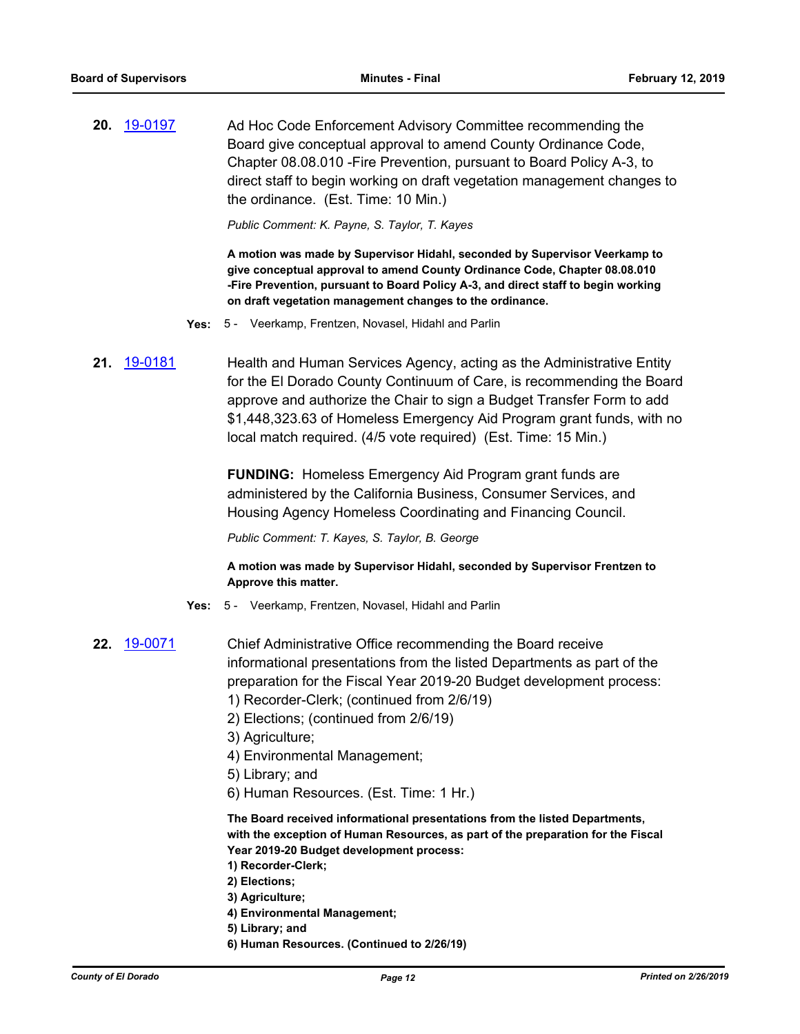**20.** [19-0197](http://eldorado.legistar.com/gateway.aspx?m=l&id=/matter.aspx?key=25517) Ad Hoc Code Enforcement Advisory Committee recommending the Board give conceptual approval to amend County Ordinance Code, Chapter 08.08.010 -Fire Prevention, pursuant to Board Policy A-3, to direct staff to begin working on draft vegetation management changes to the ordinance. (Est. Time: 10 Min.)

*Public Comment: K. Payne, S. Taylor, T. Kayes*

**A motion was made by Supervisor Hidahl, seconded by Supervisor Veerkamp to give conceptual approval to amend County Ordinance Code, Chapter 08.08.010 -Fire Prevention, pursuant to Board Policy A-3, and direct staff to begin working on draft vegetation management changes to the ordinance.**

- **Yes:** 5 Veerkamp, Frentzen, Novasel, Hidahl and Parlin
- **21.** [19-0181](http://eldorado.legistar.com/gateway.aspx?m=l&id=/matter.aspx?key=25501) Health and Human Services Agency, acting as the Administrative Entity for the El Dorado County Continuum of Care, is recommending the Board approve and authorize the Chair to sign a Budget Transfer Form to add \$1,448,323.63 of Homeless Emergency Aid Program grant funds, with no local match required. (4/5 vote required) (Est. Time: 15 Min.)

**FUNDING:** Homeless Emergency Aid Program grant funds are administered by the California Business, Consumer Services, and Housing Agency Homeless Coordinating and Financing Council.

*Public Comment: T. Kayes, S. Taylor, B. George*

**A motion was made by Supervisor Hidahl, seconded by Supervisor Frentzen to Approve this matter.**

- **Yes:** 5 Veerkamp, Frentzen, Novasel, Hidahl and Parlin
- **22.** [19-0071](http://eldorado.legistar.com/gateway.aspx?m=l&id=/matter.aspx?key=25392) Chief Administrative Office recommending the Board receive informational presentations from the listed Departments as part of the preparation for the Fiscal Year 2019-20 Budget development process: 1) Recorder-Clerk; (continued from 2/6/19) 2) Elections; (continued from 2/6/19) 3) Agriculture; 4) Environmental Management;
	- 5) Library; and
	- 6) Human Resources. (Est. Time: 1 Hr.)

**The Board received informational presentations from the listed Departments, with the exception of Human Resources, as part of the preparation for the Fiscal Year 2019-20 Budget development process:**

- **1) Recorder-Clerk;**
- **2) Elections;**
- **3) Agriculture;**
- **4) Environmental Management;**
- **5) Library; and**
- **6) Human Resources. (Continued to 2/26/19)**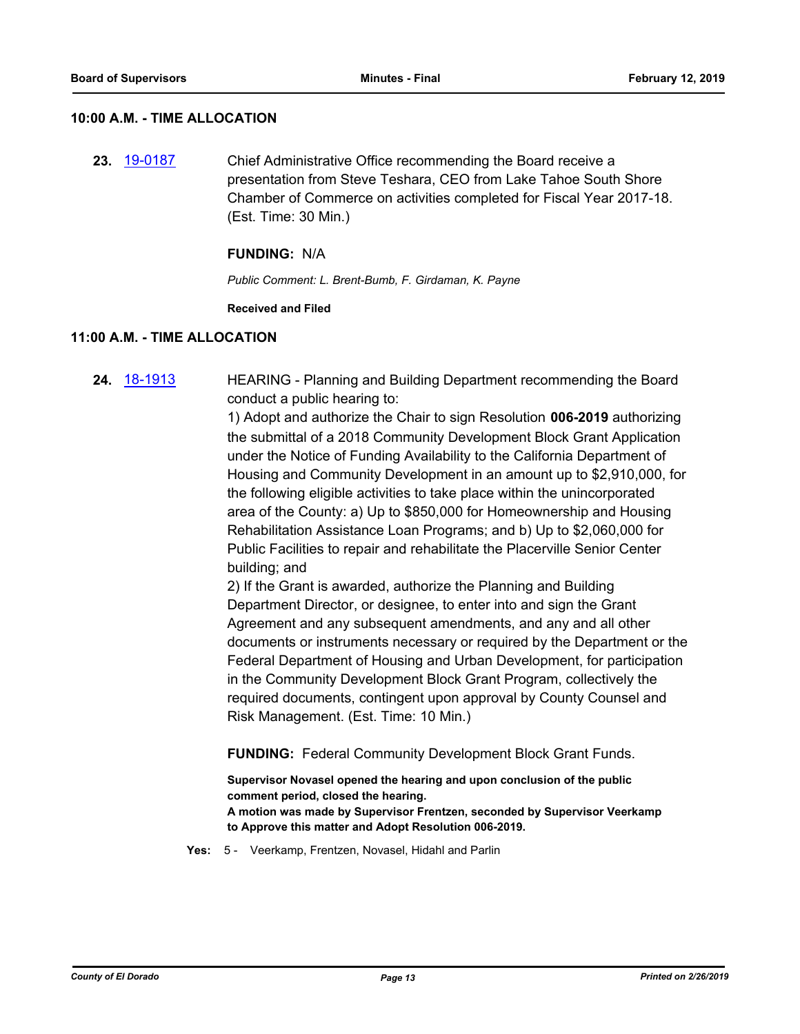#### **10:00 A.M. - TIME ALLOCATION**

**23.** [19-0187](http://eldorado.legistar.com/gateway.aspx?m=l&id=/matter.aspx?key=25507) Chief Administrative Office recommending the Board receive a presentation from Steve Teshara, CEO from Lake Tahoe South Shore Chamber of Commerce on activities completed for Fiscal Year 2017-18. (Est. Time: 30 Min.)

#### **FUNDING:** N/A

*Public Comment: L. Brent-Bumb, F. Girdaman, K. Payne*

#### **Received and Filed**

#### **11:00 A.M. - TIME ALLOCATION**

**24.** [18-1913](http://eldorado.legistar.com/gateway.aspx?m=l&id=/matter.aspx?key=25263) HEARING - Planning and Building Department recommending the Board conduct a public hearing to:

> 1) Adopt and authorize the Chair to sign Resolution **006-2019** authorizing the submittal of a 2018 Community Development Block Grant Application under the Notice of Funding Availability to the California Department of Housing and Community Development in an amount up to \$2,910,000, for the following eligible activities to take place within the unincorporated area of the County: a) Up to \$850,000 for Homeownership and Housing Rehabilitation Assistance Loan Programs; and b) Up to \$2,060,000 for Public Facilities to repair and rehabilitate the Placerville Senior Center building; and

> 2) If the Grant is awarded, authorize the Planning and Building Department Director, or designee, to enter into and sign the Grant Agreement and any subsequent amendments, and any and all other documents or instruments necessary or required by the Department or the Federal Department of Housing and Urban Development, for participation in the Community Development Block Grant Program, collectively the required documents, contingent upon approval by County Counsel and Risk Management. (Est. Time: 10 Min.)

**FUNDING:** Federal Community Development Block Grant Funds.

**Supervisor Novasel opened the hearing and upon conclusion of the public comment period, closed the hearing. A motion was made by Supervisor Frentzen, seconded by Supervisor Veerkamp to Approve this matter and Adopt Resolution 006-2019.**

**Yes:** 5 - Veerkamp, Frentzen, Novasel, Hidahl and Parlin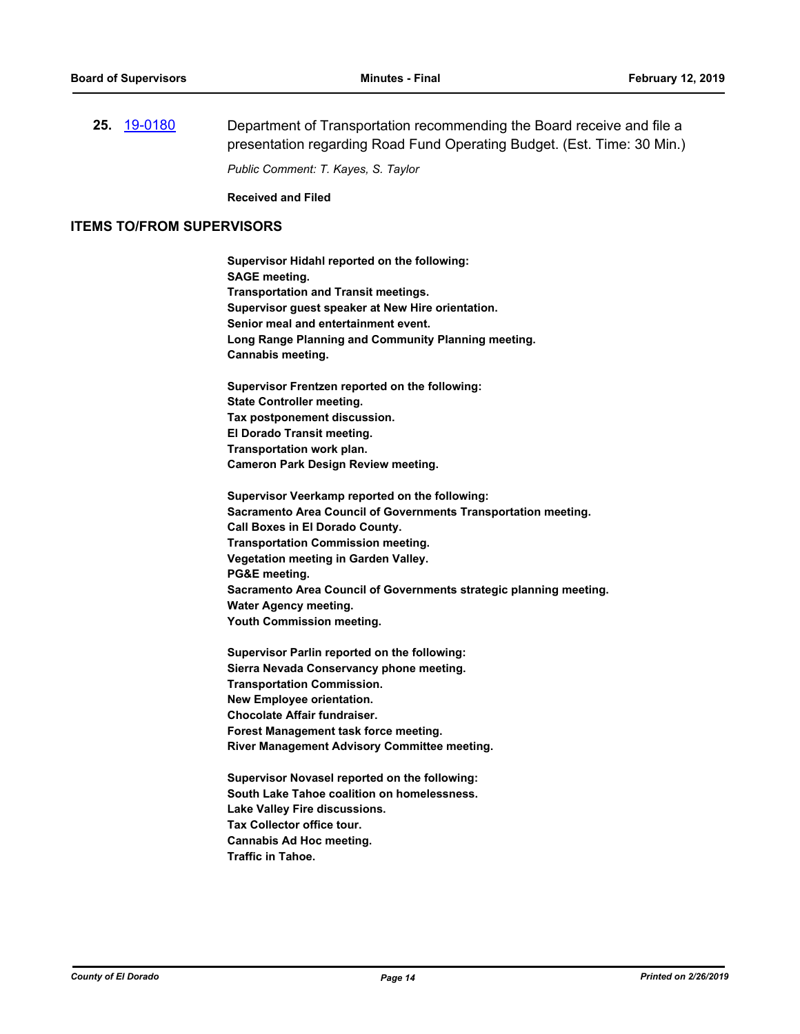**25.** [19-0180](http://eldorado.legistar.com/gateway.aspx?m=l&id=/matter.aspx?key=25500) Department of Transportation recommending the Board receive and file a presentation regarding Road Fund Operating Budget. (Est. Time: 30 Min.) *Public Comment: T. Kayes, S. Taylor*

**Received and Filed**

#### **ITEMS TO/FROM SUPERVISORS**

**Supervisor Hidahl reported on the following: SAGE meeting. Transportation and Transit meetings. Supervisor guest speaker at New Hire orientation. Senior meal and entertainment event. Long Range Planning and Community Planning meeting. Cannabis meeting. Supervisor Frentzen reported on the following: State Controller meeting. Tax postponement discussion. El Dorado Transit meeting. Transportation work plan. Cameron Park Design Review meeting. Supervisor Veerkamp reported on the following: Sacramento Area Council of Governments Transportation meeting. Call Boxes in El Dorado County. Transportation Commission meeting. Vegetation meeting in Garden Valley. PG&E meeting. Sacramento Area Council of Governments strategic planning meeting. Water Agency meeting.**

**Youth Commission meeting.**

**Supervisor Parlin reported on the following: Sierra Nevada Conservancy phone meeting. Transportation Commission. New Employee orientation. Chocolate Affair fundraiser. Forest Management task force meeting. River Management Advisory Committee meeting.**

**Supervisor Novasel reported on the following: South Lake Tahoe coalition on homelessness. Lake Valley Fire discussions. Tax Collector office tour. Cannabis Ad Hoc meeting. Traffic in Tahoe.**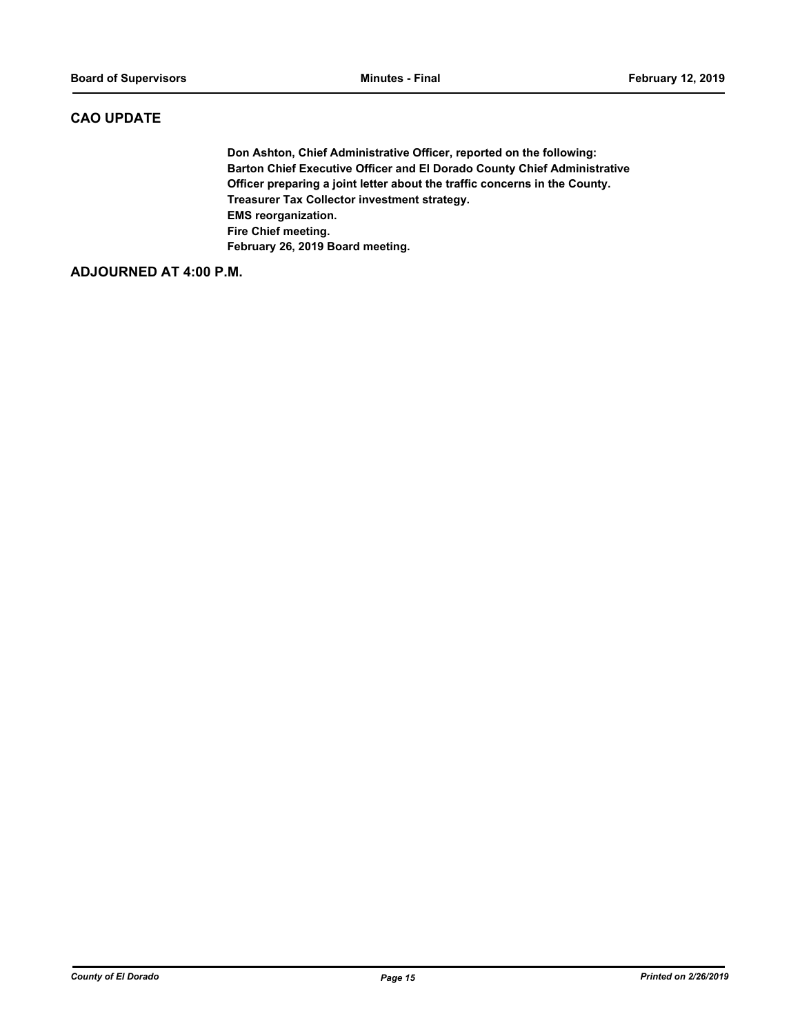#### **CAO UPDATE**

**Don Ashton, Chief Administrative Officer, reported on the following: Barton Chief Executive Officer and El Dorado County Chief Administrative Officer preparing a joint letter about the traffic concerns in the County. Treasurer Tax Collector investment strategy. EMS reorganization. Fire Chief meeting. February 26, 2019 Board meeting.**

#### **ADJOURNED AT 4:00 P.M.**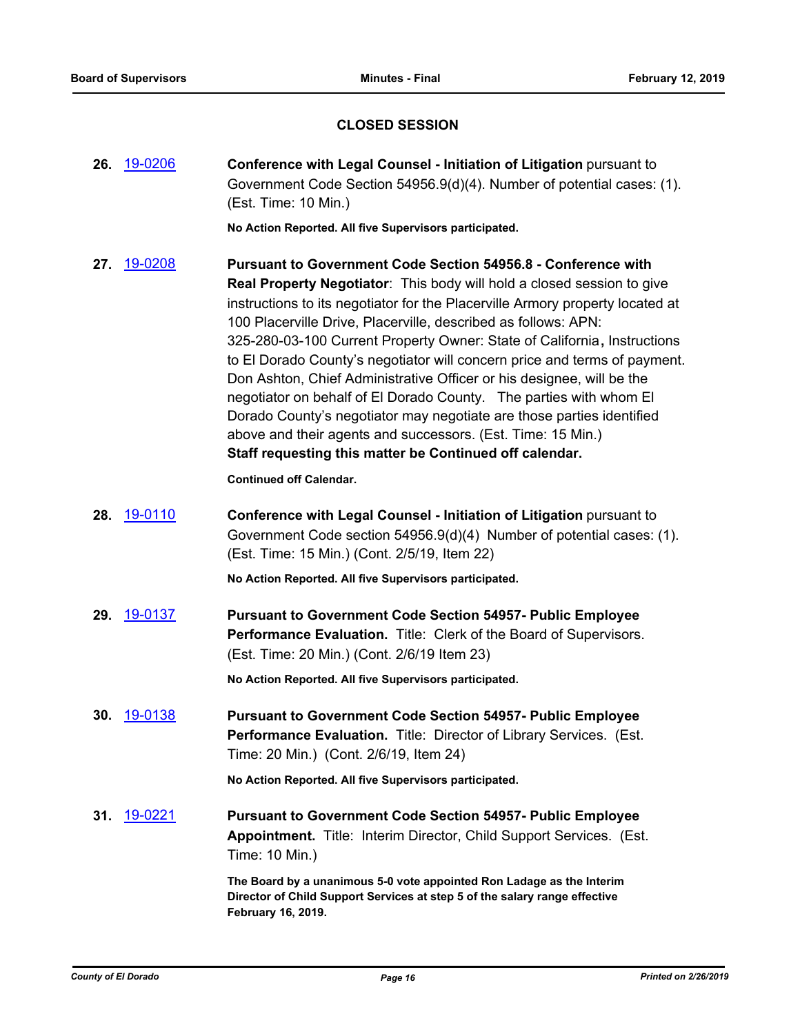### **CLOSED SESSION**

|     | 26. 19-0206 | Conference with Legal Counsel - Initiation of Litigation pursuant to<br>Government Code Section 54956.9(d)(4). Number of potential cases: (1).<br>(Est. Time: 10 Min.)                                                                                                                                                                                                                                                                                                                                                                                                                                                                                                                                                                                                                                       |
|-----|-------------|--------------------------------------------------------------------------------------------------------------------------------------------------------------------------------------------------------------------------------------------------------------------------------------------------------------------------------------------------------------------------------------------------------------------------------------------------------------------------------------------------------------------------------------------------------------------------------------------------------------------------------------------------------------------------------------------------------------------------------------------------------------------------------------------------------------|
|     |             | No Action Reported. All five Supervisors participated.                                                                                                                                                                                                                                                                                                                                                                                                                                                                                                                                                                                                                                                                                                                                                       |
| 27. | 19-0208     | <b>Pursuant to Government Code Section 54956.8 - Conference with</b><br>Real Property Negotiator: This body will hold a closed session to give<br>instructions to its negotiator for the Placerville Armory property located at<br>100 Placerville Drive, Placerville, described as follows: APN:<br>325-280-03-100 Current Property Owner: State of California, Instructions<br>to El Dorado County's negotiator will concern price and terms of payment.<br>Don Ashton, Chief Administrative Officer or his designee, will be the<br>negotiator on behalf of El Dorado County. The parties with whom El<br>Dorado County's negotiator may negotiate are those parties identified<br>above and their agents and successors. (Est. Time: 15 Min.)<br>Staff requesting this matter be Continued off calendar. |
|     |             | <b>Continued off Calendar.</b>                                                                                                                                                                                                                                                                                                                                                                                                                                                                                                                                                                                                                                                                                                                                                                               |
|     | 28. 19-0110 | Conference with Legal Counsel - Initiation of Litigation pursuant to<br>Government Code section 54956.9(d)(4) Number of potential cases: (1).<br>(Est. Time: 15 Min.) (Cont. 2/5/19, Item 22)                                                                                                                                                                                                                                                                                                                                                                                                                                                                                                                                                                                                                |
|     |             | No Action Reported. All five Supervisors participated.                                                                                                                                                                                                                                                                                                                                                                                                                                                                                                                                                                                                                                                                                                                                                       |
|     | 29. 19-0137 | <b>Pursuant to Government Code Section 54957- Public Employee</b><br>Performance Evaluation. Title: Clerk of the Board of Supervisors.<br>(Est. Time: 20 Min.) (Cont. 2/6/19 Item 23)                                                                                                                                                                                                                                                                                                                                                                                                                                                                                                                                                                                                                        |
|     |             | No Action Reported. All five Supervisors participated.                                                                                                                                                                                                                                                                                                                                                                                                                                                                                                                                                                                                                                                                                                                                                       |
| 30. | 19-0138     | <b>Pursuant to Government Code Section 54957- Public Employee</b><br>Performance Evaluation. Title: Director of Library Services. (Est.<br>Time: 20 Min.) (Cont. 2/6/19, Item 24)                                                                                                                                                                                                                                                                                                                                                                                                                                                                                                                                                                                                                            |
|     |             | No Action Reported. All five Supervisors participated.                                                                                                                                                                                                                                                                                                                                                                                                                                                                                                                                                                                                                                                                                                                                                       |
|     | 31. 19-0221 | <b>Pursuant to Government Code Section 54957- Public Employee</b><br><b>Appointment.</b> Title: Interim Director, Child Support Services. (Est.<br>Time: 10 Min.)                                                                                                                                                                                                                                                                                                                                                                                                                                                                                                                                                                                                                                            |
|     |             | The Board by a unanimous 5-0 vote appointed Ron Ladage as the Interim<br>Director of Child Support Services at step 5 of the salary range effective<br>February 16, 2019.                                                                                                                                                                                                                                                                                                                                                                                                                                                                                                                                                                                                                                    |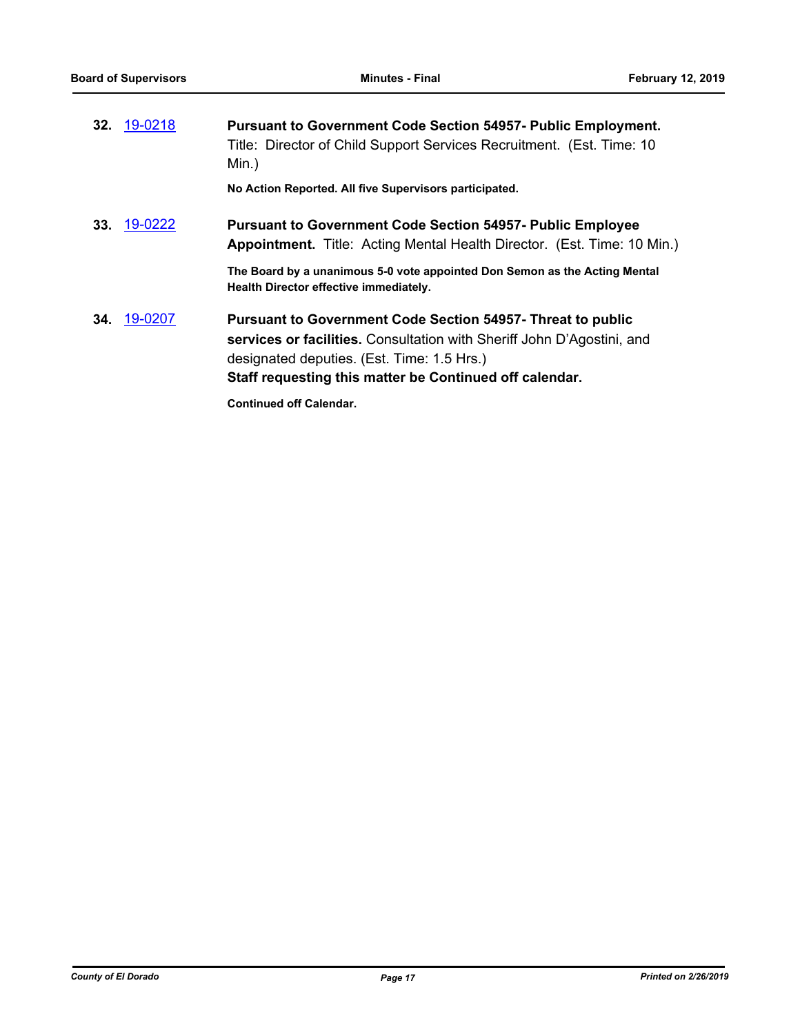|     | 32. 19-0218 | <b>Pursuant to Government Code Section 54957- Public Employment.</b><br>Title: Director of Child Support Services Recruitment. (Est. Time: 10<br>Min.)                                                                                                |
|-----|-------------|-------------------------------------------------------------------------------------------------------------------------------------------------------------------------------------------------------------------------------------------------------|
|     |             | No Action Reported. All five Supervisors participated.                                                                                                                                                                                                |
| 33. | 19-0222     | <b>Pursuant to Government Code Section 54957- Public Employee</b><br>Appointment. Title: Acting Mental Health Director. (Est. Time: 10 Min.)                                                                                                          |
|     |             | The Board by a unanimous 5-0 vote appointed Don Semon as the Acting Mental<br>Health Director effective immediately.                                                                                                                                  |
|     | 34. 19-0207 | <b>Pursuant to Government Code Section 54957- Threat to public</b><br>services or facilities. Consultation with Sheriff John D'Agostini, and<br>designated deputies. (Est. Time: 1.5 Hrs.)<br>Staff requesting this matter be Continued off calendar. |
|     |             | <b>Continued off Calendar.</b>                                                                                                                                                                                                                        |